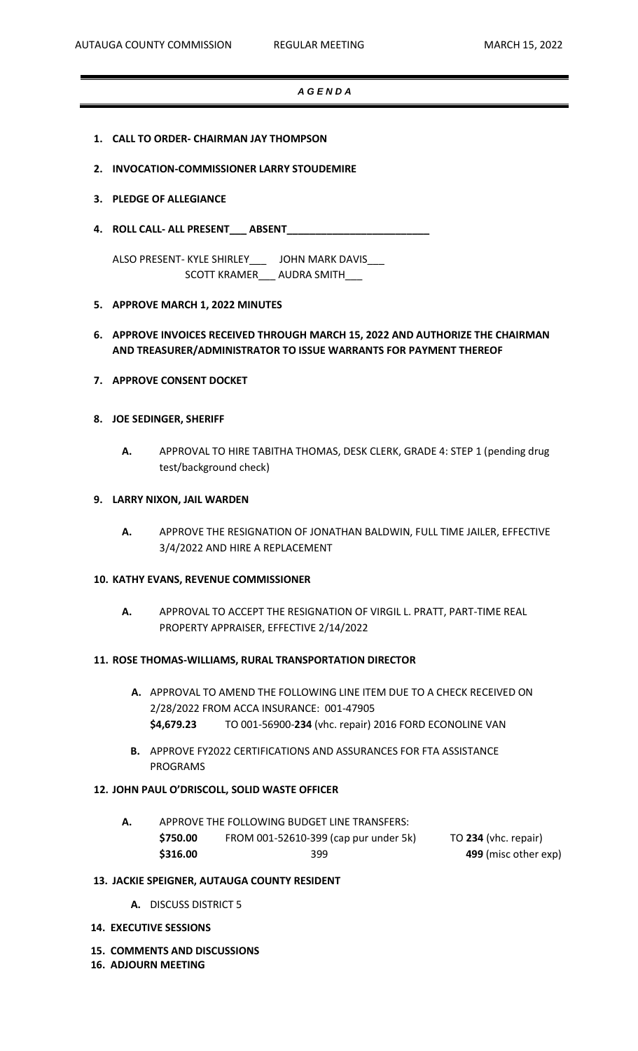## *A G E N D A*

- **1. CALL TO ORDER- CHAIRMAN JAY THOMPSON**
- **2. INVOCATION-COMMISSIONER LARRY STOUDEMIRE**

## **3. PLEDGE OF ALLEGIANCE**

**4. ROLL CALL- ALL PRESENT\_\_\_ ABSENT\_\_\_\_\_\_\_\_\_\_\_\_\_\_\_\_\_\_\_\_\_\_\_\_\_**

ALSO PRESENT- KYLE SHIRLEY\_\_\_ JOHN MARK DAVIS\_\_\_ SCOTT KRAMER\_\_\_ AUDRA SMITH\_\_\_

## **5. APPROVE MARCH 1, 2022 MINUTES**

# **6. APPROVE INVOICES RECEIVED THROUGH MARCH 15, 2022 AND AUTHORIZE THE CHAIRMAN AND TREASURER/ADMINISTRATOR TO ISSUE WARRANTS FOR PAYMENT THEREOF**

**7. APPROVE CONSENT DOCKET**

## **8. JOE SEDINGER, SHERIFF**

**A.** APPROVAL TO HIRE TABITHA THOMAS, DESK CLERK, GRADE 4: STEP 1 (pending drug test/background check)

# **9. LARRY NIXON, JAIL WARDEN**

**A.** APPROVE THE RESIGNATION OF JONATHAN BALDWIN, FULL TIME JAILER, EFFECTIVE 3/4/2022 AND HIRE A REPLACEMENT

#### **10. KATHY EVANS, REVENUE COMMISSIONER**

**A.** APPROVAL TO ACCEPT THE RESIGNATION OF VIRGIL L. PRATT, PART-TIME REAL PROPERTY APPRAISER, EFFECTIVE 2/14/2022

#### **11. ROSE THOMAS-WILLIAMS, RURAL TRANSPORTATION DIRECTOR**

- **A.** APPROVAL TO AMEND THE FOLLOWING LINE ITEM DUE TO A CHECK RECEIVED ON 2/28/2022 FROM ACCA INSURANCE: 001-47905 **\$4,679.23** TO 001-56900-**234** (vhc. repair) 2016 FORD ECONOLINE VAN
- **B.** APPROVE FY2022 CERTIFICATIONS AND ASSURANCES FOR FTA ASSISTANCE PROGRAMS

## **12. JOHN PAUL O'DRISCOLL, SOLID WASTE OFFICER**

**A.** APPROVE THE FOLLOWING BUDGET LINE TRANSFERS: **\$750.00** FROM 001-52610-399 (cap pur under 5k) TO **234** (vhc. repair) **\$316.00** 399 **499** (misc other exp)

# **13. JACKIE SPEIGNER, AUTAUGA COUNTY RESIDENT**

- **A.** DISCUSS DISTRICT 5
- **14. EXECUTIVE SESSIONS**
- **15. COMMENTS AND DISCUSSIONS**
- **16. ADJOURN MEETING**